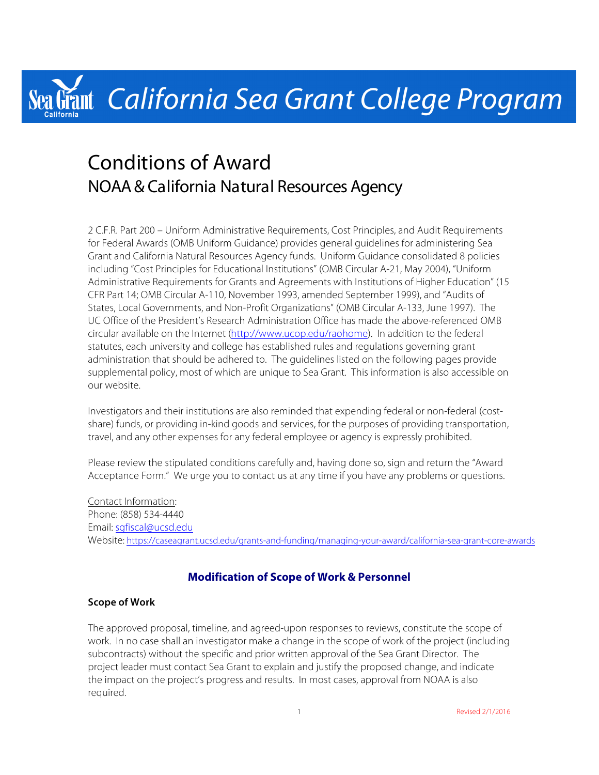# Grant California Sea Grant College Program

# Conditions of Award NOAA & California Natural Resources Agency

2 C.F.R. Part 200 – Uniform Administrative Requirements, Cost Principles, and Audit Requirements for Federal Awards (OMB Uniform Guidance) provides general guidelines for administering Sea Grant and California Natural Resources Agency funds. Uniform Guidance consolidated 8 policies including "Cost Principles for Educational Institutions" (OMB Circular A-21, May 2004), "Uniform Administrative Requirements for Grants and Agreements with Institutions of Higher Education" (15 CFR Part 14; OMB Circular A-110, November 1993, amended September 1999), and "Audits of States, Local Governments, and Non-Profit Organizations" (OMB Circular A-133, June 1997). The UC Office of the President's Research Administration Office has made the above-referenced OMB circular available on the Internet (http://www.ucop.edu/raohome). In addition to the federal statutes, each university and college has established rules and regulations governing grant administration that should be adhered to. The guidelines listed on the following pages provide supplemental policy, most of which are unique to Sea Grant. This information is also accessible on our website.

Investigators and their institutions are also reminded that expending federal or non-federal (costshare) funds, or providing in-kind goods and services, for the purposes of providing transportation, travel, and any other expenses for any federal employee or agency is expressly prohibited.

Please review the stipulated conditions carefully and, having done so, sign and return the "Award Acceptance Form." We urge you to contact us at any time if you have any problems or questions.

Contact Information: Phone: (858) 534-4440 Email: sgfiscal@ucsd.edu Website: https://caseagrant.ucsd.edu/grants-and-funding/managing-your-award/california-sea-grant-core-awards

# **Modification of Scope of Work & Personnel**

#### **Scope of Work**

The approved proposal, timeline, and agreed-upon responses to reviews, constitute the scope of work. In no case shall an investigator make a change in the scope of work of the project (including subcontracts) without the specific and prior written approval of the Sea Grant Director. The project leader must contact Sea Grant to explain and justify the proposed change, and indicate the impact on the project's progress and results. In most cases, approval from NOAA is also required.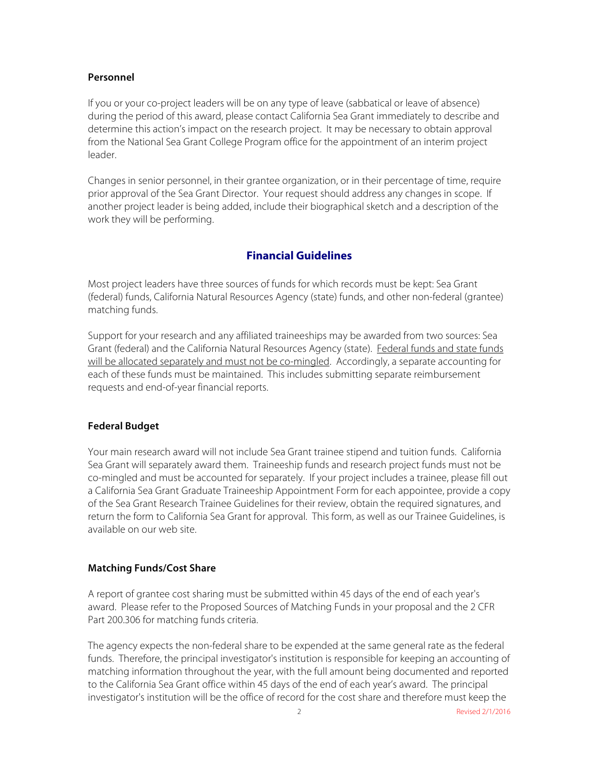#### **Personnel**

If you or your co-project leaders will be on any type of leave (sabbatical or leave of absence) during the period of this award, please contact California Sea Grant immediately to describe and determine this action's impact on the research project. It may be necessary to obtain approval from the National Sea Grant College Program office for the appointment of an interim project leader.

Changes in senior personnel, in their grantee organization, or in their percentage of time, require prior approval of the Sea Grant Director. Your request should address any changes in scope. If another project leader is being added, include their biographical sketch and a description of the work they will be performing.

# **Financial Guidelines**

Most project leaders have three sources of funds for which records must be kept: Sea Grant (federal) funds, California Natural Resources Agency (state) funds, and other non-federal (grantee) matching funds.

Support for your research and any affiliated traineeships may be awarded from two sources: Sea Grant (federal) and the California Natural Resources Agency (state). Federal funds and state funds will be allocated separately and must not be co-mingled. Accordingly, a separate accounting for each of these funds must be maintained. This includes submitting separate reimbursement requests and end-of-year financial reports.

#### **Federal Budget**

Your main research award will not include Sea Grant trainee stipend and tuition funds. California Sea Grant will separately award them. Traineeship funds and research project funds must not be co-mingled and must be accounted for separately. If your project includes a trainee, please fill out a California Sea Grant Graduate Traineeship Appointment Form for each appointee, provide a copy of the Sea Grant Research Trainee Guidelines for their review, obtain the required signatures, and return the form to California Sea Grant for approval. This form, as well as our Trainee Guidelines, is available on our web site.

#### **Matching Funds/Cost Share**

A report of grantee cost sharing must be submitted within 45 days of the end of each year's award. Please refer to the Proposed Sources of Matching Funds in your proposal and the 2 CFR Part 200.306 for matching funds criteria.

The agency expects the non-federal share to be expended at the same general rate as the federal funds. Therefore, the principal investigator's institution is responsible for keeping an accounting of matching information throughout the year, with the full amount being documented and reported to the California Sea Grant office within 45 days of the end of each year's award. The principal investigator's institution will be the office of record for the cost share and therefore must keep the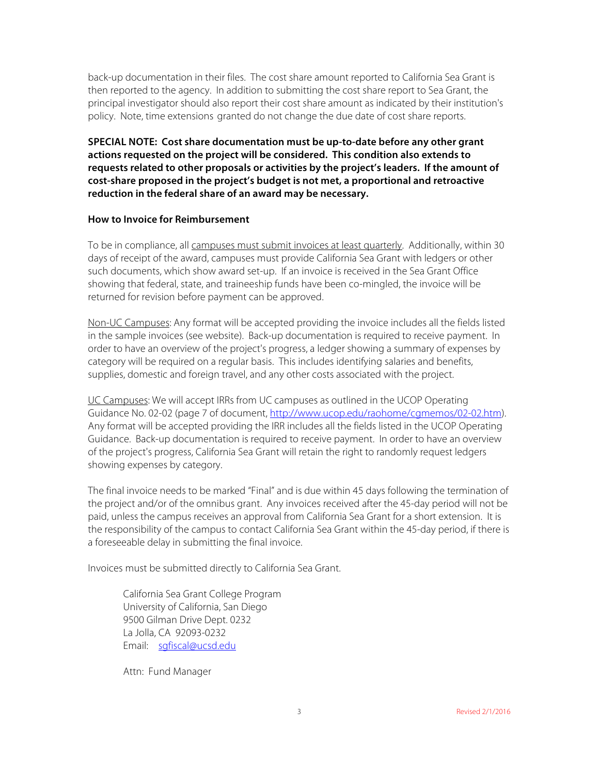back-up documentation in their files. The cost share amount reported to California Sea Grant is then reported to the agency. In addition to submitting the cost share report to Sea Grant, the principal investigator should also report their cost share amount as indicated by their institution's policy. Note, time extensions granted do not change the due date of cost share reports.

**SPECIAL NOTE: Cost share documentation must be up-to-date before any other grant actions requested on the project will be considered. This condition also extends to requests related to other proposals or activities by the project's leaders. If the amount of cost-share proposed in the project's budget is not met, a proportional and retroactive reduction in the federal share of an award may be necessary.**

#### **How to Invoice for Reimbursement**

To be in compliance, all campuses must submit invoices at least quarterly. Additionally, within 30 days of receipt of the award, campuses must provide California Sea Grant with ledgers or other such documents, which show award set-up. If an invoice is received in the Sea Grant Office showing that federal, state, and traineeship funds have been co-mingled, the invoice will be returned for revision before payment can be approved.

Non-UC Campuses: Any format will be accepted providing the invoice includes all the fields listed in the sample invoices (see website). Back-up documentation is required to receive payment. In order to have an overview of the project's progress, a ledger showing a summary of expenses by category will be required on a regular basis. This includes identifying salaries and benefits, supplies, domestic and foreign travel, and any other costs associated with the project.

UC Campuses: We will accept IRRs from UC campuses as outlined in the UCOP Operating Guidance No. 02-02 (page 7 of document, http://www.ucop.edu/raohome/cgmemos/02-02.htm). Any format will be accepted providing the IRR includes all the fields listed in the UCOP Operating Guidance. Back-up documentation is required to receive payment. In order to have an overview of the project's progress, California Sea Grant will retain the right to randomly request ledgers showing expenses by category.

The final invoice needs to be marked "Final" and is due within 45 days following the termination of the project and/or of the omnibus grant. Any invoices received after the 45-day period will not be paid, unless the campus receives an approval from California Sea Grant for a short extension. It is the responsibility of the campus to contact California Sea Grant within the 45-day period, if there is a foreseeable delay in submitting the final invoice.

Invoices must be submitted directly to California Sea Grant.

California Sea Grant College Program University of California, San Diego 9500 Gilman Drive Dept. 0232 La Jolla, CA 92093-0232 Email: sgfiscal@ucsd.edu

Attn: Fund Manager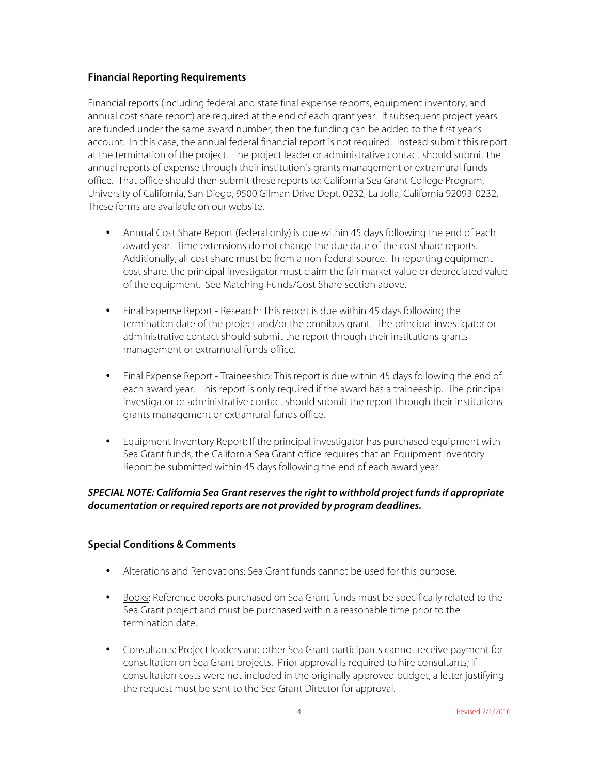#### **Financial Reporting Requirements**

Financial reports (including federal and state final expense reports, equipment inventory, and annual cost share report) are required at the end of each grant year. If subsequent project years are funded under the same award number, then the funding can be added to the first year's account. In this case, the annual federal financial report is not required. Instead submit this report at the termination of the project. The project leader or administrative contact should submit the annual reports of expense through their institution's grants management or extramural funds office. That office should then submit these reports to: California Sea Grant College Program, University of California, San Diego, 9500 Gilman Drive Dept. 0232, La Jolla, California 92093-0232. These forms are available on our website.

- Annual Cost Share Report (federal only) is due within 45 days following the end of each award year. Time extensions do not change the due date of the cost share reports. Additionally, all cost share must be from a non-federal source. In reporting equipment cost share, the principal investigator must claim the fair market value or depreciated value of the equipment. See Matching Funds/Cost Share section above.
- Final Expense Report Research: This report is due within 45 days following the termination date of the project and/or the omnibus grant. The principal investigator or administrative contact should submit the report through their institutions grants management or extramural funds office.
- Final Expense Report Traineeship: This report is due within 45 days following the end of each award year. This report is only required if the award has a traineeship. The principal investigator or administrative contact should submit the report through their institutions grants management or extramural funds office.
- Equipment Inventory Report: If the principal investigator has purchased equipment with Sea Grant funds, the California Sea Grant office requires that an Equipment Inventory Report be submitted within 45 days following the end of each award year.

#### *SPECIAL NOTE: California Sea Grant reserves the right to withhold project funds if appropriate documentation or required reports are not provided by program deadlines.*

#### **Special Conditions & Comments**

- Alterations and Renovations: Sea Grant funds cannot be used for this purpose.
- Books: Reference books purchased on Sea Grant funds must be specifically related to the Sea Grant project and must be purchased within a reasonable time prior to the termination date.
- Consultants: Project leaders and other Sea Grant participants cannot receive payment for consultation on Sea Grant projects. Prior approval is required to hire consultants; if consultation costs were not included in the originally approved budget, a letter justifying the request must be sent to the Sea Grant Director for approval.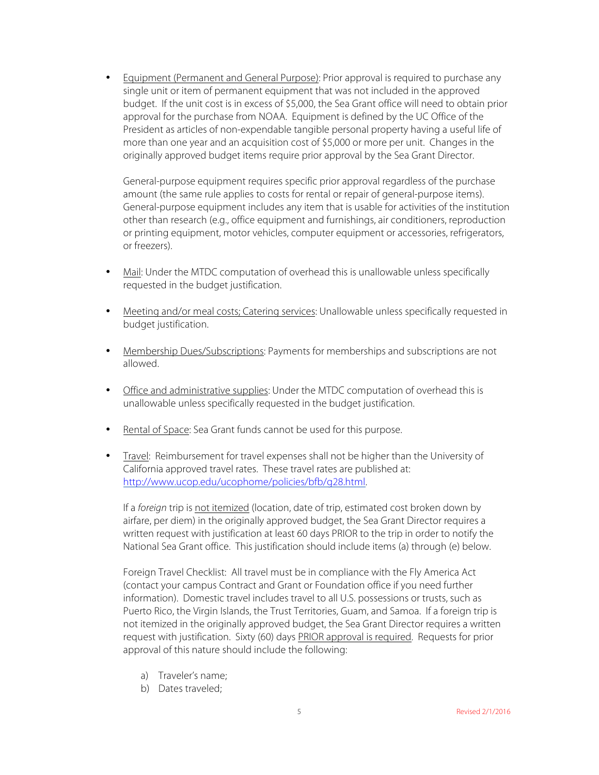• Equipment (Permanent and General Purpose): Prior approval is required to purchase any single unit or item of permanent equipment that was not included in the approved budget. If the unit cost is in excess of \$5,000, the Sea Grant office will need to obtain prior approval for the purchase from NOAA. Equipment is defined by the UC Office of the President as articles of non-expendable tangible personal property having a useful life of more than one year and an acquisition cost of \$5,000 or more per unit. Changes in the originally approved budget items require prior approval by the Sea Grant Director.

General-purpose equipment requires specific prior approval regardless of the purchase amount (the same rule applies to costs for rental or repair of general-purpose items). General-purpose equipment includes any item that is usable for activities of the institution other than research (e.g., office equipment and furnishings, air conditioners, reproduction or printing equipment, motor vehicles, computer equipment or accessories, refrigerators, or freezers).

- Mail: Under the MTDC computation of overhead this is unallowable unless specifically requested in the budget justification.
- Meeting and/or meal costs; Catering services: Unallowable unless specifically requested in budget justification.
- Membership Dues/Subscriptions: Payments for memberships and subscriptions are not allowed.
- Office and administrative supplies: Under the MTDC computation of overhead this is unallowable unless specifically requested in the budget justification.
- Rental of Space: Sea Grant funds cannot be used for this purpose.
- Travel: Reimbursement for travel expenses shall not be higher than the University of California approved travel rates. These travel rates are published at: http://www.ucop.edu/ucophome/policies/bfb/g28.html.

If a *foreign* trip is not itemized (location, date of trip, estimated cost broken down by airfare, per diem) in the originally approved budget, the Sea Grant Director requires a written request with justification at least 60 days PRIOR to the trip in order to notify the National Sea Grant office. This justification should include items (a) through (e) below.

Foreign Travel Checklist: All travel must be in compliance with the Fly America Act (contact your campus Contract and Grant or Foundation office if you need further information). Domestic travel includes travel to all U.S. possessions or trusts, such as Puerto Rico, the Virgin Islands, the Trust Territories, Guam, and Samoa. If a foreign trip is not itemized in the originally approved budget, the Sea Grant Director requires a written request with justification. Sixty (60) days PRIOR approval is required. Requests for prior approval of this nature should include the following:

- a) Traveler's name;
- b) Dates traveled;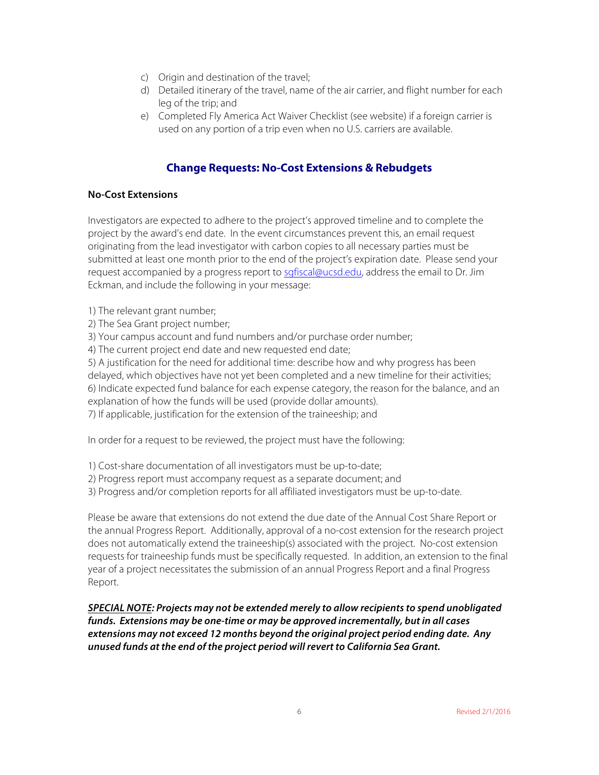- c) Origin and destination of the travel;
- d) Detailed itinerary of the travel, name of the air carrier, and flight number for each leg of the trip; and
- e) Completed Fly America Act Waiver Checklist (see website) if a foreign carrier is used on any portion of a trip even when no U.S. carriers are available.

## **Change Requests: No-Cost Extensions & Rebudgets**

#### **No-Cost Extensions**

Investigators are expected to adhere to the project's approved timeline and to complete the project by the award's end date. In the event circumstances prevent this, an email request originating from the lead investigator with carbon copies to all necessary parties must be submitted at least one month prior to the end of the project's expiration date. Please send your request accompanied by a progress report to sgfiscal@ucsd.edu, address the email to Dr. Jim Eckman, and include the following in your message:

- 1) The relevant grant number;
- 2) The Sea Grant project number;
- 3) Your campus account and fund numbers and/or purchase order number;
- 4) The current project end date and new requested end date;

5) A justification for the need for additional time: describe how and why progress has been delayed, which objectives have not yet been completed and a new timeline for their activities; 6) Indicate expected fund balance for each expense category, the reason for the balance, and an explanation of how the funds will be used (provide dollar amounts).

7) If applicable, justification for the extension of the traineeship; and

In order for a request to be reviewed, the project must have the following:

- 1) Cost-share documentation of all investigators must be up-to-date;
- 2) Progress report must accompany request as a separate document; and
- 3) Progress and/or completion reports for all affiliated investigators must be up-to-date.

Please be aware that extensions do not extend the due date of the Annual Cost Share Report or the annual Progress Report. Additionally, approval of a no-cost extension for the research project does not automatically extend the traineeship(s) associated with the project. No-cost extension requests for traineeship funds must be specifically requested. In addition, an extension to the final year of a project necessitates the submission of an annual Progress Report and a final Progress Report.

*SPECIAL NOTE: Projects may not be extended merely to allow recipients to spend unobligated funds. Extensions may be one-time or may be approved incrementally, but in all cases extensions may not exceed 12 months beyond the original project period ending date. Any unused funds at the end of the project period will revert to California Sea Grant.*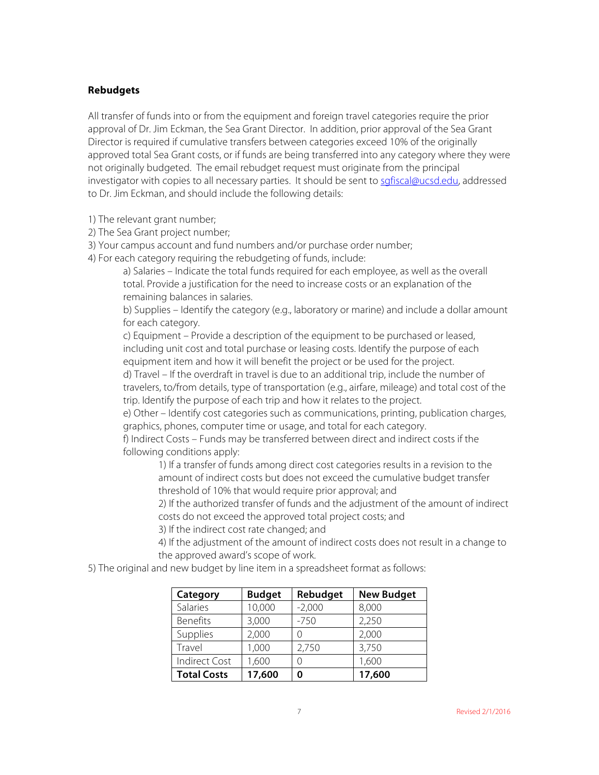#### **Rebudgets**

All transfer of funds into or from the equipment and foreign travel categories require the prior approval of Dr. Jim Eckman, the Sea Grant Director. In addition, prior approval of the Sea Grant Director is required if cumulative transfers between categories exceed 10% of the originally approved total Sea Grant costs, or if funds are being transferred into any category where they were not originally budgeted. The email rebudget request must originate from the principal investigator with copies to all necessary parties. It should be sent to sgfiscal@ucsd.edu, addressed to Dr. Jim Eckman, and should include the following details:

1) The relevant grant number;

- 2) The Sea Grant project number;
- 3) Your campus account and fund numbers and/or purchase order number;
- 4) For each category requiring the rebudgeting of funds, include:

a) Salaries – Indicate the total funds required for each employee, as well as the overall total. Provide a justification for the need to increase costs or an explanation of the remaining balances in salaries.

b) Supplies – Identify the category (e.g., laboratory or marine) and include a dollar amount for each category.

c) Equipment – Provide a description of the equipment to be purchased or leased, including unit cost and total purchase or leasing costs. Identify the purpose of each equipment item and how it will benefit the project or be used for the project.

d) Travel – If the overdraft in travel is due to an additional trip, include the number of travelers, to/from details, type of transportation (e.g., airfare, mileage) and total cost of the trip. Identify the purpose of each trip and how it relates to the project.

e) Other – Identify cost categories such as communications, printing, publication charges, graphics, phones, computer time or usage, and total for each category.

f) Indirect Costs – Funds may be transferred between direct and indirect costs if the following conditions apply:

1) If a transfer of funds among direct cost categories results in a revision to the amount of indirect costs but does not exceed the cumulative budget transfer threshold of 10% that would require prior approval; and

2) If the authorized transfer of funds and the adjustment of the amount of indirect costs do not exceed the approved total project costs; and

3) If the indirect cost rate changed; and

4) If the adjustment of the amount of indirect costs does not result in a change to the approved award's scope of work.

5) The original and new budget by line item in a spreadsheet format as follows:

| Category             | <b>Budget</b> | Rebudget | <b>New Budget</b> |
|----------------------|---------------|----------|-------------------|
| Salaries             | 10,000        | $-2,000$ | 8,000             |
| <b>Benefits</b>      | 3,000         | $-750$   | 2,250             |
| Supplies             | 2,000         |          | 2,000             |
| Travel               | 1,000         | 2,750    | 3,750             |
| <b>Indirect Cost</b> | 1,600         |          | 1,600             |
| <b>Total Costs</b>   | 17,600        |          | 17,600            |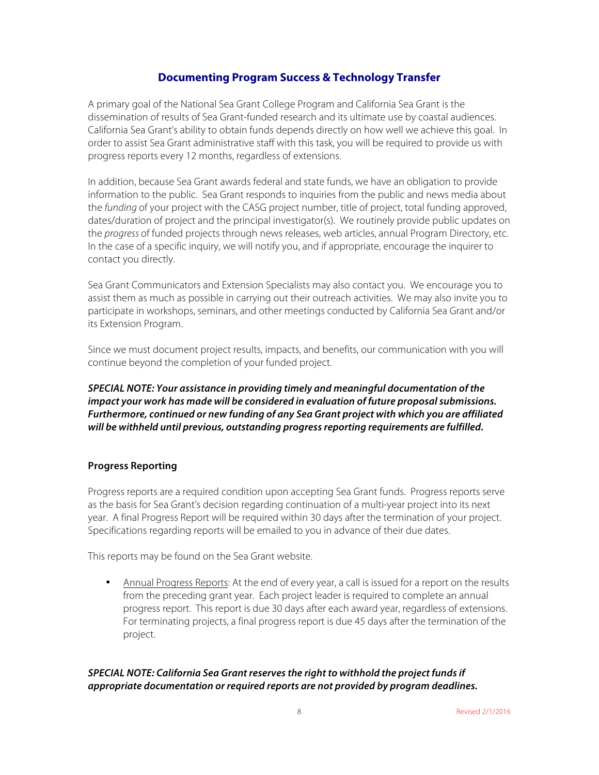### **Documenting Program Success & Technology Transfer**

A primary goal of the National Sea Grant College Program and California Sea Grant is the dissemination of results of Sea Grant-funded research and its ultimate use by coastal audiences. California Sea Grant's ability to obtain funds depends directly on how well we achieve this goal. In order to assist Sea Grant administrative staff with this task, you will be required to provide us with progress reports every 12 months, regardless of extensions.

In addition, because Sea Grant awards federal and state funds, we have an obligation to provide information to the public. Sea Grant responds to inquiries from the public and news media about the *funding* of your project with the CASG project number, title of project, total funding approved, dates/duration of project and the principal investigator(s). We routinely provide public updates on the *progress* of funded projects through news releases, web articles, annual Program Directory, etc. In the case of a specific inquiry, we will notify you, and if appropriate, encourage the inquirer to contact you directly.

Sea Grant Communicators and Extension Specialists may also contact you. We encourage you to assist them as much as possible in carrying out their outreach activities. We may also invite you to participate in workshops, seminars, and other meetings conducted by California Sea Grant and/or its Extension Program.

Since we must document project results, impacts, and benefits, our communication with you will continue beyond the completion of your funded project.

*SPECIAL NOTE: Your assistance in providing timely and meaningful documentation of the impact your work has made will be considered in evaluation of future proposal submissions. Furthermore, continued or new funding of any Sea Grant project with which you are affiliated will be withheld until previous, outstanding progress reporting requirements are fulfilled.*

#### **Progress Reporting**

Progress reports are a required condition upon accepting Sea Grant funds. Progress reports serve as the basis for Sea Grant's decision regarding continuation of a multi-year project into its next year. A final Progress Report will be required within 30 days after the termination of your project. Specifications regarding reports will be emailed to you in advance of their due dates.

This reports may be found on the Sea Grant website.

• Annual Progress Reports: At the end of every year, a call is issued for a report on the results from the preceding grant year. Each project leader is required to complete an annual progress report. This report is due 30 days after each award year, regardless of extensions. For terminating projects, a final progress report is due 45 days after the termination of the project.

#### *SPECIAL NOTE: California Sea Grant reserves the right to withhold the project funds if appropriate documentation or required reports are not provided by program deadlines.*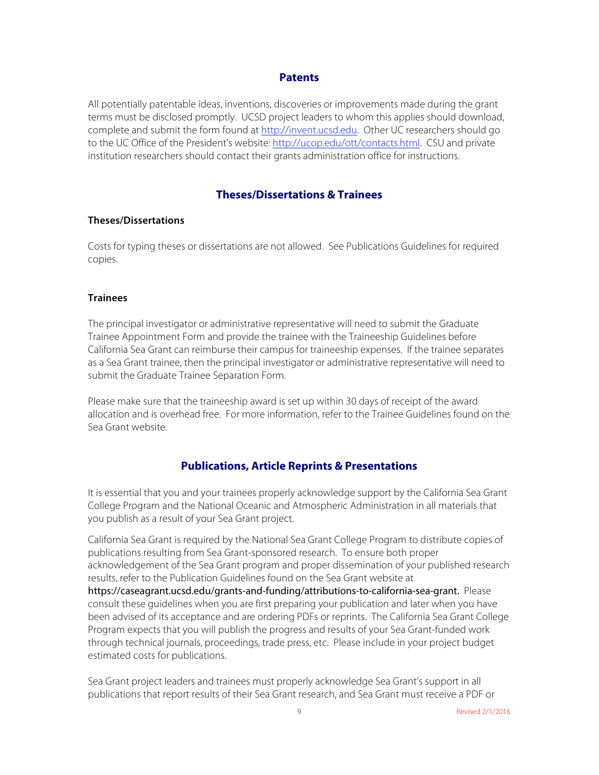#### **Patents**

All potentially patentable ideas, inventions, discoveries or improvements made during the grant terms must be disclosed promptly. UCSD project leaders to whom this applies should download, complete and submit the form found at http://invent.ucsd.edu. Other UC researchers should go to the UC Office of the President's website: http://ucop.edu/ott/contacts.html. CSU and private institution researchers should contact their grants administration office for instructions.

#### **Theses/Dissertations & Trainees**

#### **Theses/Dissertations**

Costs for typing theses or dissertations are not allowed. See Publications Guidelines for required copies.

#### **Trainees**

The principal investigator or administrative representative will need to submit the Graduate Trainee Appointment Form and provide the trainee with the Traineeship Guidelines before California Sea Grant can reimburse their campus for traineeship expenses. If the trainee separates as a Sea Grant trainee, then the principal investigator or administrative representative will need to submit the Graduate Trainee Separation Form.

Please make sure that the traineeship award is set up within 30 days of receipt of the award allocation and is overhead free. For more information, refer to the Trainee Guidelines found on the Sea Grant website.

#### **Publications, Article Reprints & Presentations**

It is essential that you and your trainees properly acknowledge support by the California Sea Grant College Program and the National Oceanic and Atmospheric Administration in all materials that you publish as a result of your Sea Grant project.

California Sea Grant is required by the National Sea Grant College Program to distribute copies of publications resulting from Sea Grant-sponsored research. To ensure both proper acknowledgement of the Sea Grant program and proper dissemination of your published research results, refer to the Publication Guidelines found on the Sea Grant website at [https://caseagrant.ucsd.edu/grants-and-funding/attributions-to-california-sea-grant.](https://caseagrant.ucsd.edu/grants-and-funding/attributions-to-california-sea-grant) Please consult these guidelines when you are first preparing your publication and later when you have been advised of its acceptance and are ordering PDFs or reprints. The California Sea Grant College Program expects that you will publish the progress and results of your Sea Grant-funded work through technical journals, proceedings, trade press, etc. Please include in your project budget estimated costs for publications.

Sea Grant project leaders and trainees must properly acknowledge Sea Grant's support in all publications that report results of their Sea Grant research, and Sea Grant must receive a PDF or